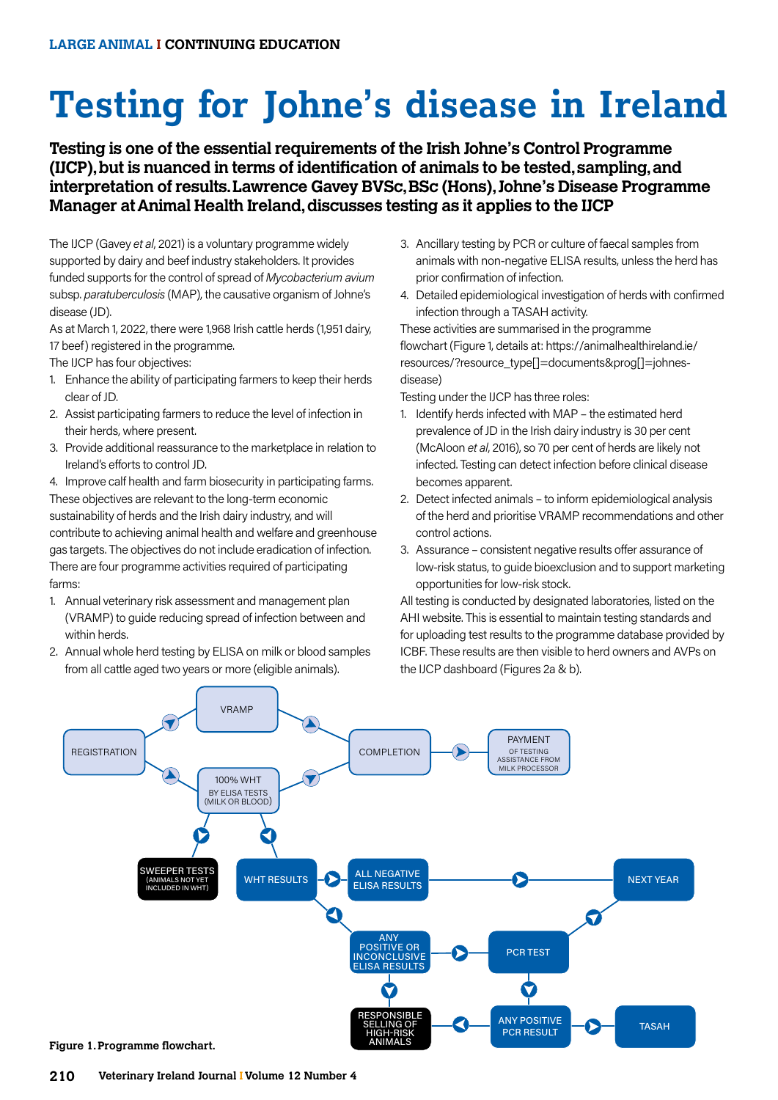# **Testing for Johne's disease in Ireland**

# **Testing is one of the essential requirements of the Irish Johne's Control Programme (IJCP), but is nuanced in terms of identification of animals to be tested, sampling, and interpretation of results. Lawrence Gavey BVSc, BSc (Hons), Johne's Disease Programme Manager at Animal Health Ireland, discusses testing as it applies to the IJCP**

The IJCP (Gavey *et al*, 2021) is a voluntary programme widely supported by dairy and beef industry stakeholders. It provides funded supports for the control of spread of *Mycobacterium avium* subsp. *paratuberculosis* (MAP), the causative organism of Johne's disease (JD).

As at March 1, 2022, there were 1,968 Irish cattle herds (1,951 dairy, 17 beef) registered in the programme.

The IJCP has four objectives:

- 1. Enhance the ability of participating farmers to keep their herds clear of JD.
- 2. Assist participating farmers to reduce the level of infection in their herds, where present.
- 3. Provide additional reassurance to the marketplace in relation to Ireland's efforts to control JD.

4. Improve calf health and farm biosecurity in participating farms. These objectives are relevant to the long-term economic sustainability of herds and the Irish dairy industry, and will contribute to achieving animal health and welfare and greenhouse gas targets. The objectives do not include eradication of infection. There are four programme activities required of participating farms:

- 1. Annual veterinary risk assessment and management plan (VRAMP) to guide reducing spread of infection between and within herds.
- 2. Annual whole herd testing by ELISA on milk or blood samples from all cattle aged two years or more (eligible animals).
- 3. Ancillary testing by PCR or culture of faecal samples from animals with non-negative ELISA results, unless the herd has prior confirmation of infection.
- 4. Detailed epidemiological investigation of herds with confirmed infection through a TASAH activity.

These activities are summarised in the programme flowchart (Figure 1, details at: https://animalhealthireland.ie/ resources/?resource\_type[]=documents&prog[]=johnesdisease)

Testing under the IJCP has three roles:

- 1. Identify herds infected with MAP the estimated herd prevalence of JD in the Irish dairy industry is 30 per cent (McAloon *et al*, 2016), so 70 per cent of herds are likely not infected. Testing can detect infection before clinical disease becomes apparent.
- 2. Detect infected animals to inform epidemiological analysis of the herd and prioritise VRAMP recommendations and other control actions.
- 3. Assurance consistent negative results offer assurance of low-risk status, to guide bioexclusion and to support marketing opportunities for low-risk stock.

All testing is conducted by designated laboratories, listed on the AHI website. This is essential to maintain testing standards and for uploading test results to the programme database provided by ICBF. These results are then visible to herd owners and AVPs on the IJCP dashboard (Figures 2a & b).

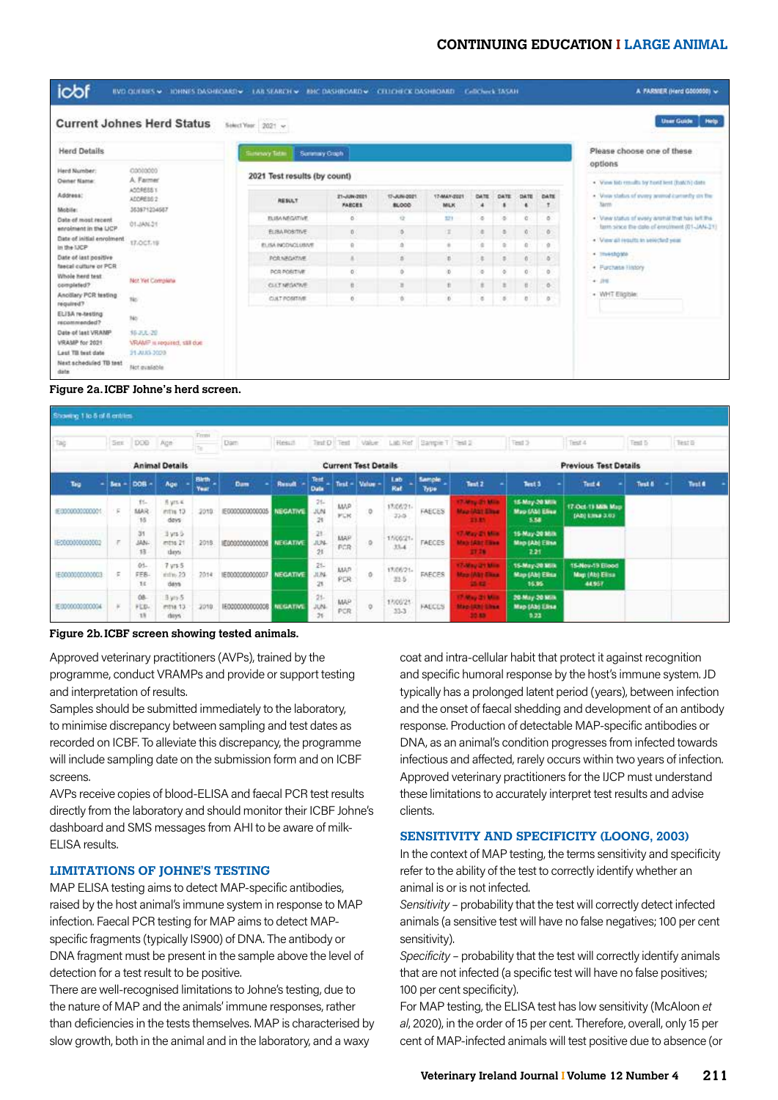# **CONTINUING EDUCATION I LARGE ANIMAL**

| icbf                                                        |                                   | BVD QUERES . DHNES DASHROARD . LAB SEARCH . BHC DASHROARD . CELEDIECK DASHROARD . CellCheck TASAH |                             |                             |                           |           |       |          |            | A FARMER (Herd G000000) w                                                                                    |
|-------------------------------------------------------------|-----------------------------------|---------------------------------------------------------------------------------------------------|-----------------------------|-----------------------------|---------------------------|-----------|-------|----------|------------|--------------------------------------------------------------------------------------------------------------|
|                                                             | <b>Current Johnes Herd Status</b> | Select Year 2021 v                                                                                |                             |                             |                           |           |       |          |            | <b>Unar Guide</b><br>Help                                                                                    |
| <b>Herd Details</b>                                         |                                   | <b>Sutency Telau</b><br>Summay Crach                                                              |                             |                             |                           |           |       |          |            | Please choose one of these<br>options                                                                        |
| Herd Number:<br><b>Owner Name:</b>                          | 02002000<br>A. Farmer             |                                                                                                   |                             |                             |                           |           |       |          |            |                                                                                                              |
| Address:                                                    | ADDRESS 1<br>ADDRESS 2            | <b>RESULT</b>                                                                                     | 21-AW-2021<br><b>FABCES</b> | 17-AIN-0021<br><b>BLOCO</b> | 17-MAN-2021<br><b>MLK</b> | DATE<br>٠ | DATE. | 114,78   | DATE       | . Vane lab results by hord lest (bakin) data<br>. Visus status of every aromodicamedy are the<br><b>Name</b> |
| Mobile:<br><b>Oate of most recent</b>                       | 363871234667                      | <b>FLIRA NEGATIVE</b>                                                                             | $\sigma$                    | $\alpha$                    | 321                       | ×         | ø.    | <b>D</b> | $\alpha$   | . View status of every arorhit that has left the                                                             |
| enrolment in the LICP.                                      | 103041-10                         | <b>ELIBAROSTIVE</b>                                                                               | 0                           | <b>D</b>                    | ×                         | ŝ         | a.    | Ø.       | $\alpha$   | farm since the date of enrolment (01-JAN-31)                                                                 |
| Date of initial enrolment<br>in the LICP                    | 17.OCT.19                         | <b><i>RI ISA INCONCLUSIVE</i></b>                                                                 | ٥                           | ó                           |                           | a         |       | $\Omega$ | a          | - View all require an selecting year.                                                                        |
| Date of last positive                                       |                                   | <b>POR NADJOSAE</b>                                                                               | x                           | n                           | s.                        | z,        | s.    | $\alpha$ | o.         | + Investorate                                                                                                |
| faecal culture or PCR<br>Whole herd test                    |                                   | POR FORTIVE                                                                                       | $\mathbb{R}$                | ó                           | ò.                        | ۰         | ö.    | O.       | $^{\circ}$ | · Furchase History                                                                                           |
| completed?                                                  | Not Yet Complete                  | <b>CLETAROUSE</b>                                                                                 | $\overline{u}$              | ×                           |                           | ×.        | ÷.    | 省        | ö.         | $+ 31$                                                                                                       |
| Ancillary PCR testing<br>required?                          | tic.                              | CULT POSITAR                                                                                      | ö                           | 18                          |                           | ×         | s.    | B        | s          | . WHT Eligible:                                                                                              |
| ELISA re-testing<br>recommended?                            | 16                                |                                                                                                   |                             |                             |                           |           |       |          |            |                                                                                                              |
| Date of last VRAMP                                          | \$6.35L-20                        |                                                                                                   |                             |                             |                           |           |       |          |            |                                                                                                              |
| VRAMP for 2021                                              | VRAMP is required, still due      |                                                                                                   |                             |                             |                           |           |       |          |            |                                                                                                              |
| <b>Lest TII test date</b><br>Next scheduled TB test<br>date | 31-AU03-2020<br>Not qualishle     |                                                                                                   |                             |                             |                           |           |       |          |            |                                                                                                              |

#### **Figure 2a. ICBF Johne's herd screen.**

| Showing 1 to 5 of 6 entries                      |        |                      |                                            |                      |                           |                             |                            |                     |         |                                        |                                           |                                                                    |                                           |                                             |         |        |  |  |
|--------------------------------------------------|--------|----------------------|--------------------------------------------|----------------------|---------------------------|-----------------------------|----------------------------|---------------------|---------|----------------------------------------|-------------------------------------------|--------------------------------------------------------------------|-------------------------------------------|---------------------------------------------|---------|--------|--|--|
| Tag                                              | Ser.   | DOB:                 | Age                                        | Fremt<br>470.1       | Dam-                      | Result                      |                            |                     |         |                                        | Text D Text Value Lub Ref Sample T Text 2 |                                                                    | Test 3                                    | Test 4                                      | Text 5  | Test 5 |  |  |
|                                                  |        |                      | <b>Animal Details</b>                      |                      |                           | <b>Current Test Details</b> |                            |                     |         |                                        |                                           | <b>Previous Test Details</b>                                       |                                           |                                             |         |        |  |  |
| Tag                                              | $km -$ | DOB                  | Age                                        | <b>Birth</b><br>Year | <b>Dam</b>                | Result                      | Test<br>Date               | Test -              | Value - | Lab<br>Raf                             | Sample<br>Type:                           | Text 2                                                             | Test 5                                    | Test 4<br>٠                                 | Tirst & | Test 6 |  |  |
| IE000000000001                                   | F      | tt-<br>MAR<br>18     | <b>Byrs 4</b><br>inths 13<br>devs:         | 2010                 | IE0000000000005           | <b>NEGATIVE</b>             | 26<br>JUN<br>$\frac{1}{2}$ | <b>MAP</b><br>95.16 | o       | 17/06/21-<br>22-5                      | FAECES                                    | <b>17-May 21 Mile</b><br><b>Map (Ab) Elisa</b><br>21.85            | 15-May-20 Milk<br>Map (Ab) Elisa<br>5.58  | 17-Oct-19 Milk Map<br>(AD) 6314-3.03        |         |        |  |  |
| $-1$ $+1$ $+1$ $+1$ $+1$ $+1$<br>IE0000000000002 |        | än<br>JAN-<br>13     | 3 yrs 5<br>estos 21<br>there.              | 2018                 | IE0090000000008           | NEGATIVE                    | $-21$<br>31,764<br>21      | MAP<br>PCR          | ø,      | 150621.<br>33.4<br>an a                | FAECES                                    | 17-May 21 Miles<br><b>Maje (Altd Elisa)</b><br>27.78               | 15 May 20 Milk<br>Map (Ab) Elisa<br>2.21  |                                             |         |        |  |  |
| IE000000000003                                   | 仮      | $01 -$<br>FEB-<br>14 | 7 <sub>W15</sub> 5<br>$C5$ or link<br>days | 2014                 | IED000000000007           | <b>NEGATIVE</b>             | $21 -$<br>31.76<br>21      | <b>MAP</b><br>PCR   | ŭ       | <b>STEPHENOME</b><br>17/06/21-<br>23.5 | FAECES                                    | <b>17-May 21 Mag</b><br><b>May (Ab) Eliza</b><br>$\mathbf{A}$ is a | 15-May-20 Milk<br>Map (Ab) Elisa<br>16.95 | 15-Nov-19 Blood<br>Map (Ab) Elisa<br>44,957 |         |        |  |  |
| IE000000000004                                   | JF.    | 08<br>FLD.<br>18     | 3 yrs 5<br>mths 13<br>days.                | 2010                 | 1E0000000000008 NIESATIVE |                             | 21<br>JUN<br>26            | MAP<br>PCR.         | o.      | 17/06/21<br>33-3                       | FAECES                                    | 17-May 21 Mile<br><b>Map (AN) Lines</b><br>20.89                   | 20 May 20 Milk<br>Map (Ab) Elisa<br>B.23  |                                             |         |        |  |  |

#### **Figure 2b. ICBF screen showing tested animals.**

Approved veterinary practitioners (AVPs), trained by the programme, conduct VRAMPs and provide or support testing and interpretation of results.

Samples should be submitted immediately to the laboratory, to minimise discrepancy between sampling and test dates as recorded on ICBF. To alleviate this discrepancy, the programme will include sampling date on the submission form and on ICBF screens.

AVPs receive copies of blood-ELISA and faecal PCR test results directly from the laboratory and should monitor their ICBF Johne's dashboard and SMS messages from AHI to be aware of milk-ELISA results.

## **LIMITATIONS OF JOHNE'S TESTING**

MAP ELISA testing aims to detect MAP-specific antibodies, raised by the host animal's immune system in response to MAP infection. Faecal PCR testing for MAP aims to detect MAPspecific fragments (typically IS900) of DNA. The antibody or DNA fragment must be present in the sample above the level of detection for a test result to be positive.

There are well-recognised limitations to Johne's testing, due to the nature of MAP and the animals' immune responses, rather than deficiencies in the tests themselves. MAP is characterised by slow growth, both in the animal and in the laboratory, and a waxy

coat and intra-cellular habit that protect it against recognition and specific humoral response by the host's immune system. JD typically has a prolonged latent period (years), between infection and the onset of faecal shedding and development of an antibody response. Production of detectable MAP-specific antibodies or DNA, as an animal's condition progresses from infected towards infectious and affected, rarely occurs within two years of infection. Approved veterinary practitioners for the IJCP must understand these limitations to accurately interpret test results and advise clients.

#### **SENSITIVITY AND SPECIFICITY (LOONG, 2003)**

In the context of MAP testing, the terms sensitivity and specificity refer to the ability of the test to correctly identify whether an animal is or is not infected.

*Sensitivity –* probability that the test will correctly detect infected animals (a sensitive test will have no false negatives; 100 per cent sensitivity).

*Specificity –* probability that the test will correctly identify animals that are not infected (a specific test will have no false positives; 100 per cent specificity).

For MAP testing, the ELISA test has low sensitivity (McAloon *et al*, 2020), in the order of 15 per cent. Therefore, overall, only 15 per cent of MAP-infected animals will test positive due to absence (or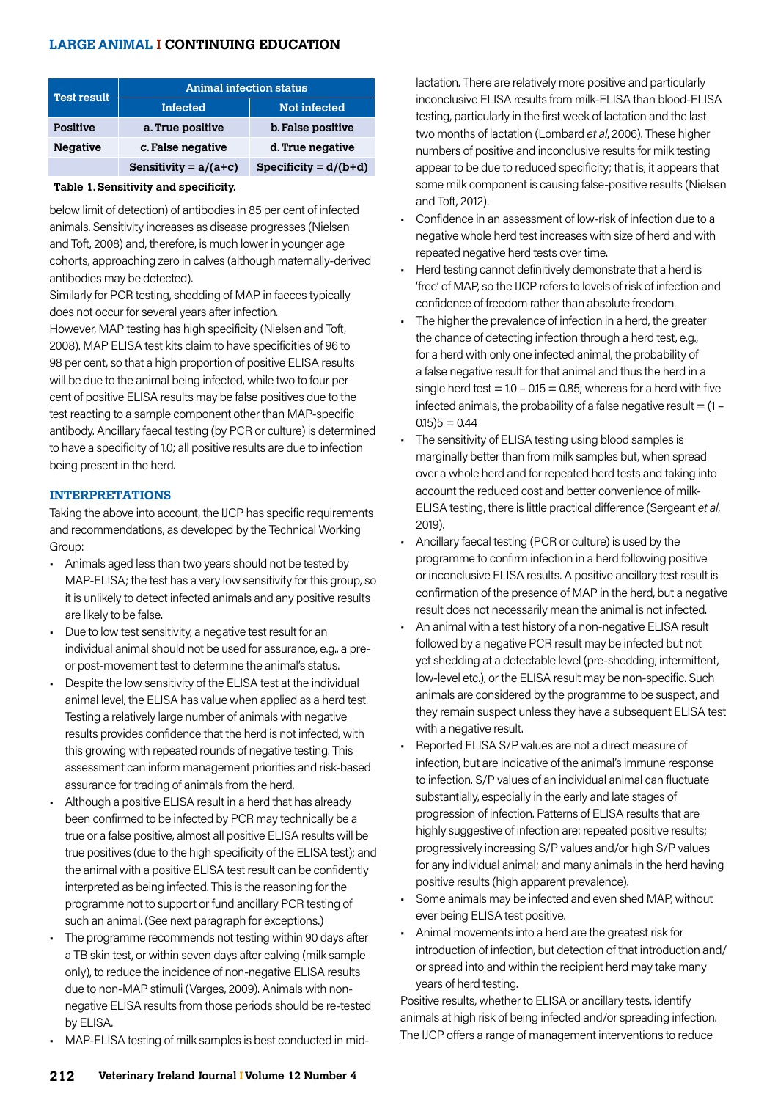# **LARGE ANIMAL I CONTINUING EDUCATION**

| <b>Test result</b> | <b>Animal infection status</b> |                         |  |  |  |  |  |  |  |  |
|--------------------|--------------------------------|-------------------------|--|--|--|--|--|--|--|--|
|                    | <b>Infected</b>                | <b>Not infected</b>     |  |  |  |  |  |  |  |  |
| <b>Positive</b>    | a. True positive               | b. False positive       |  |  |  |  |  |  |  |  |
| <b>Negative</b>    | c. False negative              | d. True negative        |  |  |  |  |  |  |  |  |
|                    | Sensitivity = $a/(a+c)$        | Specificity = $d/(b+d)$ |  |  |  |  |  |  |  |  |
|                    |                                |                         |  |  |  |  |  |  |  |  |

#### **Table 1. Sensitivity and specificity.**

below limit of detection) of antibodies in 85 per cent of infected animals. Sensitivity increases as disease progresses (Nielsen and Toft, 2008) and, therefore, is much lower in younger age cohorts, approaching zero in calves (although maternally-derived antibodies may be detected).

Similarly for PCR testing, shedding of MAP in faeces typically does not occur for several years after infection.

However, MAP testing has high specificity (Nielsen and Toft, 2008). MAP ELISA test kits claim to have specificities of 96 to 98 per cent, so that a high proportion of positive ELISA results will be due to the animal being infected, while two to four per cent of positive ELISA results may be false positives due to the test reacting to a sample component other than MAP-specific antibody. Ancillary faecal testing (by PCR or culture) is determined to have a specificity of 1.0; all positive results are due to infection being present in the herd.

#### **INTERPRETATIONS**

Taking the above into account, the IJCP has specific requirements and recommendations, as developed by the Technical Working Group:

- Animals aged less than two years should not be tested by MAP-ELISA; the test has a very low sensitivity for this group, so it is unlikely to detect infected animals and any positive results are likely to be false.
- Due to low test sensitivity, a negative test result for an individual animal should not be used for assurance, e.g., a preor post-movement test to determine the animal's status.
- Despite the low sensitivity of the ELISA test at the individual animal level, the ELISA has value when applied as a herd test. Testing a relatively large number of animals with negative results provides confidence that the herd is not infected, with this growing with repeated rounds of negative testing. This assessment can inform management priorities and risk-based assurance for trading of animals from the herd.
- Although a positive ELISA result in a herd that has already been confirmed to be infected by PCR may technically be a true or a false positive, almost all positive ELISA results will be true positives (due to the high specificity of the ELISA test); and the animal with a positive ELISA test result can be confidently interpreted as being infected. This is the reasoning for the programme not to support or fund ancillary PCR testing of such an animal. (See next paragraph for exceptions.)
- The programme recommends not testing within 90 days after a TB skin test, or within seven days after calving (milk sample only), to reduce the incidence of non-negative ELISA results due to non-MAP stimuli (Varges, 2009). Animals with nonnegative ELISA results from those periods should be re-tested by ELISA.
- MAP-ELISA testing of milk samples is best conducted in mid-

lactation. There are relatively more positive and particularly inconclusive ELISA results from milk-ELISA than blood-ELISA testing, particularly in the first week of lactation and the last two months of lactation (Lombard *et al*, 2006). These higher numbers of positive and inconclusive results for milk testing appear to be due to reduced specificity; that is, it appears that some milk component is causing false-positive results (Nielsen and Toft, 2012).

- Confidence in an assessment of low-risk of infection due to a negative whole herd test increases with size of herd and with repeated negative herd tests over time.
- Herd testing cannot definitively demonstrate that a herd is 'free' of MAP, so the IJCP refers to levels of risk of infection and confidence of freedom rather than absolute freedom.
- The higher the prevalence of infection in a herd, the greater the chance of detecting infection through a herd test, e.g., for a herd with only one infected animal, the probability of a false negative result for that animal and thus the herd in a single herd test  $= 1.0 - 0.15 = 0.85$ ; whereas for a herd with five infected animals, the probability of a false negative result  $=$   $(1 (0.15)5 = 0.44$
- The sensitivity of ELISA testing using blood samples is marginally better than from milk samples but, when spread over a whole herd and for repeated herd tests and taking into account the reduced cost and better convenience of milk-ELISA testing, there is little practical difference (Sergeant *et al*, 2019).
- Ancillary faecal testing (PCR or culture) is used by the programme to confirm infection in a herd following positive or inconclusive ELISA results. A positive ancillary test result is confirmation of the presence of MAP in the herd, but a negative result does not necessarily mean the animal is not infected.
- An animal with a test history of a non-negative ELISA result followed by a negative PCR result may be infected but not yet shedding at a detectable level (pre-shedding, intermittent, low-level etc.), or the ELISA result may be non-specific. Such animals are considered by the programme to be suspect, and they remain suspect unless they have a subsequent ELISA test with a negative result.
- Reported ELISA S/P values are not a direct measure of infection, but are indicative of the animal's immune response to infection. S/P values of an individual animal can fluctuate substantially, especially in the early and late stages of progression of infection. Patterns of ELISA results that are highly suggestive of infection are: repeated positive results; progressively increasing S/P values and/or high S/P values for any individual animal; and many animals in the herd having positive results (high apparent prevalence).
- Some animals may be infected and even shed MAP, without ever being ELISA test positive.
- Animal movements into a herd are the greatest risk for introduction of infection, but detection of that introduction and/ or spread into and within the recipient herd may take many years of herd testing.

Positive results, whether to ELISA or ancillary tests, identify animals at high risk of being infected and/or spreading infection. The IJCP offers a range of management interventions to reduce